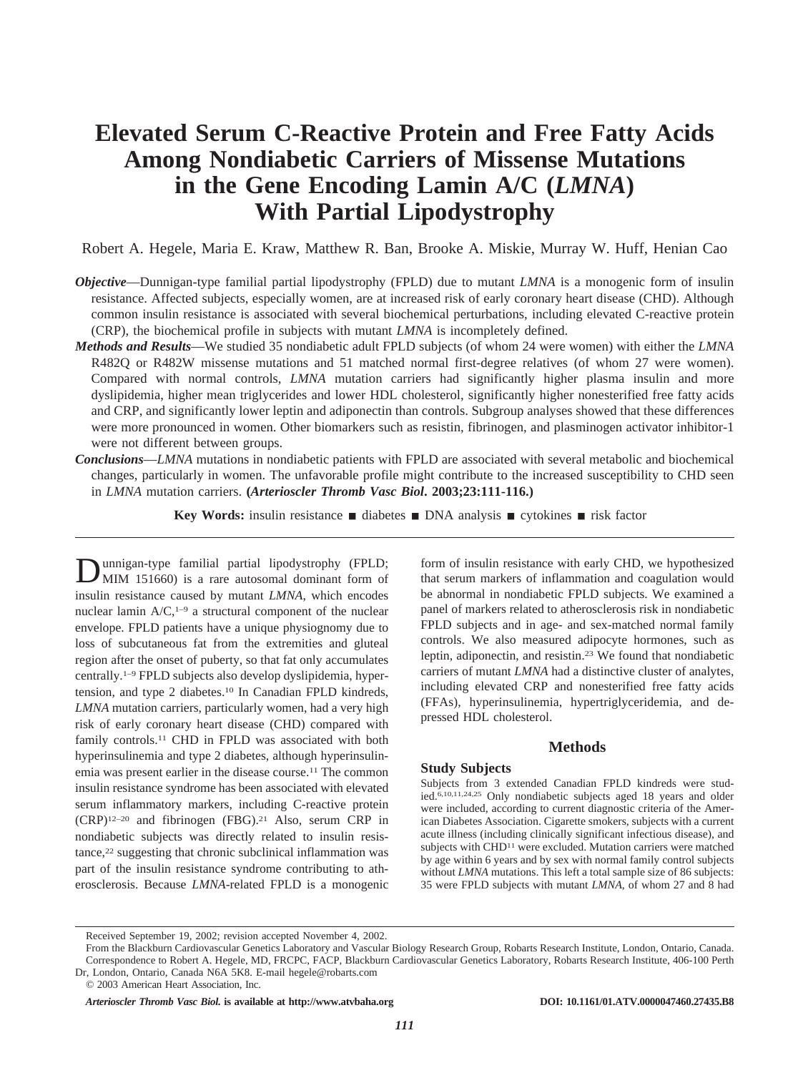# **Elevated Serum C-Reactive Protein and Free Fatty Acids Among Nondiabetic Carriers of Missense Mutations in the Gene Encoding Lamin A/C (***LMNA***) With Partial Lipodystrophy**

Robert A. Hegele, Maria E. Kraw, Matthew R. Ban, Brooke A. Miskie, Murray W. Huff, Henian Cao

- *Objective*—Dunnigan-type familial partial lipodystrophy (FPLD) due to mutant *LMNA* is a monogenic form of insulin resistance. Affected subjects, especially women, are at increased risk of early coronary heart disease (CHD). Although common insulin resistance is associated with several biochemical perturbations, including elevated C-reactive protein (CRP), the biochemical profile in subjects with mutant *LMNA* is incompletely defined.
- *Methods and Results*—We studied 35 nondiabetic adult FPLD subjects (of whom 24 were women) with either the *LMNA* R482Q or R482W missense mutations and 51 matched normal first-degree relatives (of whom 27 were women). Compared with normal controls, *LMNA* mutation carriers had significantly higher plasma insulin and more dyslipidemia, higher mean triglycerides and lower HDL cholesterol, significantly higher nonesterified free fatty acids and CRP, and significantly lower leptin and adiponectin than controls. Subgroup analyses showed that these differences were more pronounced in women. Other biomarkers such as resistin, fibrinogen, and plasminogen activator inhibitor-1 were not different between groups.
- *Conclusions*—*LMNA* mutations in nondiabetic patients with FPLD are associated with several metabolic and biochemical changes, particularly in women. The unfavorable profile might contribute to the increased susceptibility to CHD seen in *LMNA* mutation carriers. **(***Arterioscler Thromb Vasc Biol***. 2003;23:111-116.)**

**Key Words:** insulin resistance  $\blacksquare$  diabetes  $\blacksquare$  DNA analysis  $\blacksquare$  cytokines  $\blacksquare$  risk factor

Dunnigan-type familial partial lipodystrophy (FPLD;<br>MIM 151660) is a rare autosomal dominant form of insulin resistance caused by mutant *LMNA*, which encodes nuclear lamin  $A/C$ ,<sup>1–9</sup> a structural component of the nuclear envelope. FPLD patients have a unique physiognomy due to loss of subcutaneous fat from the extremities and gluteal region after the onset of puberty, so that fat only accumulates centrally.1–9 FPLD subjects also develop dyslipidemia, hypertension, and type 2 diabetes.10 In Canadian FPLD kindreds, *LMNA* mutation carriers, particularly women, had a very high risk of early coronary heart disease (CHD) compared with family controls.11 CHD in FPLD was associated with both hyperinsulinemia and type 2 diabetes, although hyperinsulinemia was present earlier in the disease course.11 The common insulin resistance syndrome has been associated with elevated serum inflammatory markers, including C-reactive protein  $(CRP)^{12-20}$  and fibrinogen  $(FBG)^{21}$  Also, serum CRP in nondiabetic subjects was directly related to insulin resistance,<sup>22</sup> suggesting that chronic subclinical inflammation was part of the insulin resistance syndrome contributing to atherosclerosis. Because *LMNA*-related FPLD is a monogenic

form of insulin resistance with early CHD, we hypothesized that serum markers of inflammation and coagulation would be abnormal in nondiabetic FPLD subjects. We examined a panel of markers related to atherosclerosis risk in nondiabetic FPLD subjects and in age- and sex-matched normal family controls. We also measured adipocyte hormones, such as leptin, adiponectin, and resistin.23 We found that nondiabetic carriers of mutant *LMNA* had a distinctive cluster of analytes, including elevated CRP and nonesterified free fatty acids (FFAs), hyperinsulinemia, hypertriglyceridemia, and depressed HDL cholesterol.

# **Methods**

# **Study Subjects**

Subjects from 3 extended Canadian FPLD kindreds were studied.6,10,11,24,25 Only nondiabetic subjects aged 18 years and older were included, according to current diagnostic criteria of the American Diabetes Association. Cigarette smokers, subjects with a current acute illness (including clinically significant infectious disease), and subjects with CHD<sup>11</sup> were excluded. Mutation carriers were matched by age within 6 years and by sex with normal family control subjects without *LMNA* mutations. This left a total sample size of 86 subjects: 35 were FPLD subjects with mutant *LMNA*, of whom 27 and 8 had

Received September 19, 2002; revision accepted November 4, 2002.

From the Blackburn Cardiovascular Genetics Laboratory and Vascular Biology Research Group, Robarts Research Institute, London, Ontario, Canada. Correspondence to Robert A. Hegele, MD, FRCPC, FACP, Blackburn Cardiovascular Genetics Laboratory, Robarts Research Institute, 406-100 Perth Dr, London, Ontario, Canada N6A 5K8. E-mail hegele@robarts.com

<sup>© 2003</sup> American Heart Association, Inc.

*Arterioscler Thromb Vasc Biol.* **is available at http://www.atvbaha.org DOI: 10.1161/01.ATV.0000047460.27435.B8**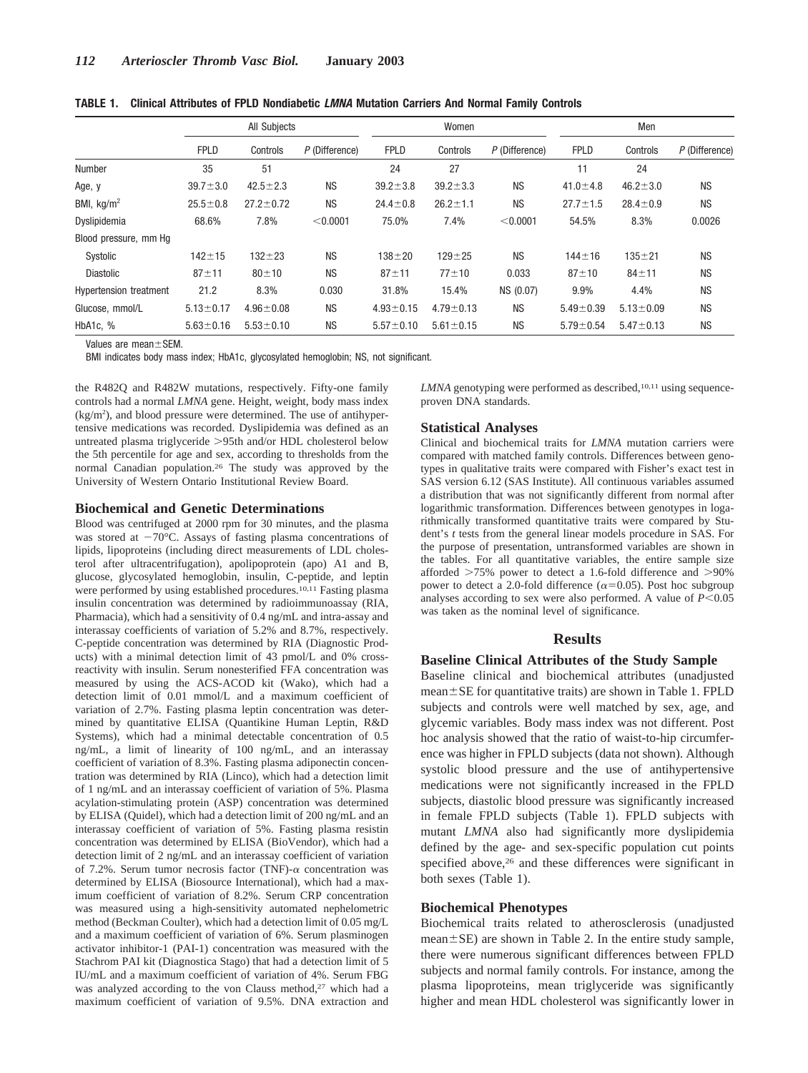|                               | All Subjects    |                 |                | Women           |                 |                | Men             |                 |                |
|-------------------------------|-----------------|-----------------|----------------|-----------------|-----------------|----------------|-----------------|-----------------|----------------|
|                               | <b>FPLD</b>     | Controls        | P (Difference) | <b>FPLD</b>     | Controls        | P (Difference) | <b>FPLD</b>     | Controls        | P (Difference) |
| <b>Number</b>                 | 35              | 51              |                | 24              | 27              |                | 11              | 24              |                |
| Age, y                        | $39.7 \pm 3.0$  | $42.5 \pm 2.3$  | <b>NS</b>      | $39.2 \pm 3.8$  | $39.2 \pm 3.3$  | <b>NS</b>      | $41.0 \pm 4.8$  | $46.2 \pm 3.0$  | <b>NS</b>      |
| BMI, $\text{kg/m}^2$          | $25.5 \pm 0.8$  | $27.2 \pm 0.72$ | <b>NS</b>      | $24.4 \pm 0.8$  | $26.2 \pm 1.1$  | <b>NS</b>      | $27.7 \pm 1.5$  | $28.4 \pm 0.9$  | <b>NS</b>      |
| Dyslipidemia                  | 68.6%           | 7.8%            | < 0.0001       | 75.0%           | 7.4%            | < 0.0001       | 54.5%           | 8.3%            | 0.0026         |
| Blood pressure, mm Hq         |                 |                 |                |                 |                 |                |                 |                 |                |
| Systolic                      | $142 + 15$      | $132 + 23$      | <b>NS</b>      | $138 + 20$      | $129 + 25$      | <b>NS</b>      | $144 + 16$      | $135 + 21$      | <b>NS</b>      |
| <b>Diastolic</b>              | $87 + 11$       | $80 + 10$       | <b>NS</b>      | $87 + 11$       | $77 + 10$       | 0.033          | $87 + 10$       | $84 + 11$       | <b>NS</b>      |
| <b>Hypertension treatment</b> | 21.2            | 8.3%            | 0.030          | 31.8%           | 15.4%           | NS (0.07)      | 9.9%            | 4.4%            | <b>NS</b>      |
| Glucose, mmol/L               | $5.13 \pm 0.17$ | $4.96 \pm 0.08$ | <b>NS</b>      | $4.93 \pm 0.15$ | $4.79 \pm 0.13$ | <b>NS</b>      | $5.49 \pm 0.39$ | $5.13 \pm 0.09$ | <b>NS</b>      |
| HbA1c, %                      | $5.63 \pm 0.16$ | $5.53 \pm 0.10$ | <b>NS</b>      | $5.57 \pm 0.10$ | $5.61 \pm 0.15$ | <b>NS</b>      | $5.79 \pm 0.54$ | $5.47 \pm 0.13$ | <b>NS</b>      |

**TABLE 1. Clinical Attributes of FPLD Nondiabetic** *LMNA* **Mutation Carriers And Normal Family Controls**

Values are mean $\pm$ SEM.

BMI indicates body mass index; HbA1c, glycosylated hemoglobin; NS, not significant.

the R482Q and R482W mutations, respectively. Fifty-one family controls had a normal *LMNA* gene. Height, weight, body mass index (kg/m2 ), and blood pressure were determined. The use of antihypertensive medications was recorded. Dyslipidemia was defined as an untreated plasma triglyceride 95th and/or HDL cholesterol below the 5th percentile for age and sex, according to thresholds from the normal Canadian population.26 The study was approved by the University of Western Ontario Institutional Review Board.

# **Biochemical and Genetic Determinations**

Blood was centrifuged at 2000 rpm for 30 minutes, and the plasma was stored at  $-70^{\circ}$ C. Assays of fasting plasma concentrations of lipids, lipoproteins (including direct measurements of LDL cholesterol after ultracentrifugation), apolipoprotein (apo) A1 and B, glucose, glycosylated hemoglobin, insulin, C-peptide, and leptin were performed by using established procedures.<sup>10,11</sup> Fasting plasma insulin concentration was determined by radioimmunoassay (RIA, Pharmacia), which had a sensitivity of 0.4 ng/mL and intra-assay and interassay coefficients of variation of 5.2% and 8.7%, respectively. C-peptide concentration was determined by RIA (Diagnostic Products) with a minimal detection limit of 43 pmol/L and 0% crossreactivity with insulin. Serum nonesterified FFA concentration was measured by using the ACS-ACOD kit (Wako), which had a detection limit of 0.01 mmol/L and a maximum coefficient of variation of 2.7%. Fasting plasma leptin concentration was determined by quantitative ELISA (Quantikine Human Leptin, R&D Systems), which had a minimal detectable concentration of 0.5 ng/mL, a limit of linearity of 100 ng/mL, and an interassay coefficient of variation of 8.3%. Fasting plasma adiponectin concentration was determined by RIA (Linco), which had a detection limit of 1 ng/mL and an interassay coefficient of variation of 5%. Plasma acylation-stimulating protein (ASP) concentration was determined by ELISA (Quidel), which had a detection limit of 200 ng/mL and an interassay coefficient of variation of 5%. Fasting plasma resistin concentration was determined by ELISA (BioVendor), which had a detection limit of 2 ng/mL and an interassay coefficient of variation of 7.2%. Serum tumor necrosis factor (TNF)- $\alpha$  concentration was determined by ELISA (Biosource International), which had a maximum coefficient of variation of 8.2%. Serum CRP concentration was measured using a high-sensitivity automated nephelometric method (Beckman Coulter), which had a detection limit of 0.05 mg/L and a maximum coefficient of variation of 6%. Serum plasminogen activator inhibitor-1 (PAI-1) concentration was measured with the Stachrom PAI kit (Diagnostica Stago) that had a detection limit of 5 IU/mL and a maximum coefficient of variation of 4%. Serum FBG was analyzed according to the von Clauss method,<sup>27</sup> which had a maximum coefficient of variation of 9.5%. DNA extraction and *LMNA* genotyping were performed as described,<sup>10,11</sup> using sequenceproven DNA standards.

## **Statistical Analyses**

Clinical and biochemical traits for *LMNA* mutation carriers were compared with matched family controls. Differences between genotypes in qualitative traits were compared with Fisher's exact test in SAS version 6.12 (SAS Institute). All continuous variables assumed a distribution that was not significantly different from normal after logarithmic transformation. Differences between genotypes in logarithmically transformed quantitative traits were compared by Student's *t* tests from the general linear models procedure in SAS. For the purpose of presentation, untransformed variables are shown in the tables. For all quantitative variables, the entire sample size afforded  $>75\%$  power to detect a 1.6-fold difference and  $>90\%$ power to detect a 2.0-fold difference ( $\alpha$ =0.05). Post hoc subgroup analyses according to sex were also performed. A value of  $P<0.05$ was taken as the nominal level of significance.

# **Results**

#### **Baseline Clinical Attributes of the Study Sample**

Baseline clinical and biochemical attributes (unadjusted  $mean \pm SE$  for quantitative traits) are shown in Table 1. FPLD subjects and controls were well matched by sex, age, and glycemic variables. Body mass index was not different. Post hoc analysis showed that the ratio of waist-to-hip circumference was higher in FPLD subjects (data not shown). Although systolic blood pressure and the use of antihypertensive medications were not significantly increased in the FPLD subjects, diastolic blood pressure was significantly increased in female FPLD subjects (Table 1). FPLD subjects with mutant *LMNA* also had significantly more dyslipidemia defined by the age- and sex-specific population cut points specified above,<sup>26</sup> and these differences were significant in both sexes (Table 1).

# **Biochemical Phenotypes**

Biochemical traits related to atherosclerosis (unadjusted  $mean \pm SE$ ) are shown in Table 2. In the entire study sample, there were numerous significant differences between FPLD subjects and normal family controls. For instance, among the plasma lipoproteins, mean triglyceride was significantly higher and mean HDL cholesterol was significantly lower in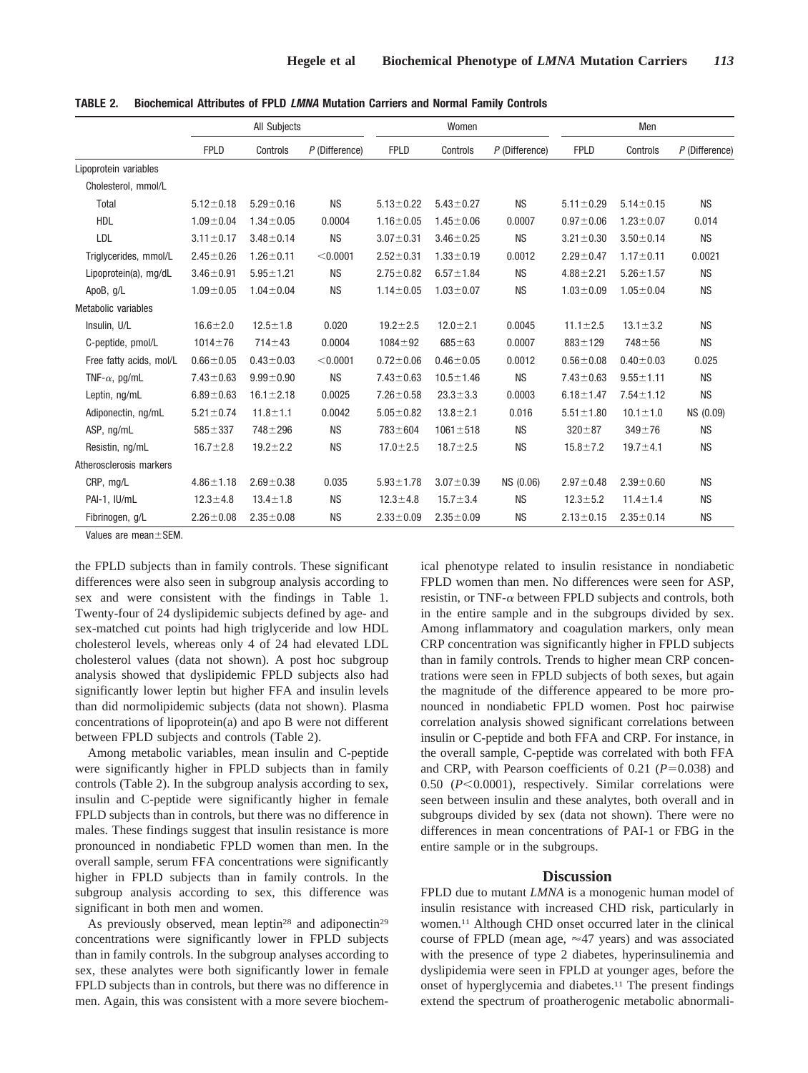|                         | All Subjects    |                 |                | Women           |                 |                | Men             |                 |                |
|-------------------------|-----------------|-----------------|----------------|-----------------|-----------------|----------------|-----------------|-----------------|----------------|
|                         | <b>FPLD</b>     | Controls        | P (Difference) | <b>FPLD</b>     | Controls        | P (Difference) | <b>FPLD</b>     | Controls        | P (Difference) |
| Lipoprotein variables   |                 |                 |                |                 |                 |                |                 |                 |                |
| Cholesterol, mmol/L     |                 |                 |                |                 |                 |                |                 |                 |                |
| Total                   | $5.12 \pm 0.18$ | $5.29 \pm 0.16$ | <b>NS</b>      | $5.13 \pm 0.22$ | $5.43 \pm 0.27$ | <b>NS</b>      | $5.11 \pm 0.29$ | $5.14 \pm 0.15$ | <b>NS</b>      |
| <b>HDL</b>              | $1.09 \pm 0.04$ | $1.34 \pm 0.05$ | 0.0004         | $1.16 \pm 0.05$ | $1.45 \pm 0.06$ | 0.0007         | $0.97 + 0.06$   | $1.23 \pm 0.07$ | 0.014          |
| LDL                     | $3.11 \pm 0.17$ | $3.48 \pm 0.14$ | <b>NS</b>      | $3.07 \pm 0.31$ | $3.46 \pm 0.25$ | <b>NS</b>      | $3.21 \pm 0.30$ | $3.50 \pm 0.14$ | <b>NS</b>      |
| Triglycerides, mmol/L   | $2.45 \pm 0.26$ | $1.26 \pm 0.11$ | < 0.0001       | $2.52 \pm 0.31$ | $1.33 \pm 0.19$ | 0.0012         | $2.29 \pm 0.47$ | $1.17 \pm 0.11$ | 0.0021         |
| Lipoprotein(a), mg/dL   | $3.46 \pm 0.91$ | $5.95 \pm 1.21$ | <b>NS</b>      | $2.75 \pm 0.82$ | $6.57 \pm 1.84$ | <b>NS</b>      | $4.88 \pm 2.21$ | $5.26 \pm 1.57$ | <b>NS</b>      |
| ApoB, g/L               | $1.09 + 0.05$   | $1.04 \pm 0.04$ | <b>NS</b>      | $1.14 \pm 0.05$ | $1.03 \pm 0.07$ | <b>NS</b>      | $1.03 \pm 0.09$ | $1.05 \pm 0.04$ | <b>NS</b>      |
| Metabolic variables     |                 |                 |                |                 |                 |                |                 |                 |                |
| Insulin, U/L            | $16.6 \pm 2.0$  | $12.5 \pm 1.8$  | 0.020          | $19.2 \pm 2.5$  | $12.0 \pm 2.1$  | 0.0045         | $11.1 \pm 2.5$  | $13.1 \pm 3.2$  | <b>NS</b>      |
| C-peptide, pmol/L       | $1014 \pm 76$   | $714 \pm 43$    | 0.0004         | $1084 + 92$     | $685 + 63$      | 0.0007         | $883 \pm 129$   | $748 + 56$      | <b>NS</b>      |
| Free fatty acids, mol/L | $0.66 \pm 0.05$ | $0.43 \pm 0.03$ | < 0.0001       | $0.72 \pm 0.06$ | $0.46 \pm 0.05$ | 0.0012         | $0.56 \pm 0.08$ | $0.40 \pm 0.03$ | 0.025          |
| TNF- $\alpha$ , pg/mL   | $7.43 \pm 0.63$ | $9.99 \pm 0.90$ | <b>NS</b>      | $7.43 \pm 0.63$ | $10.5 \pm 1.46$ | <b>NS</b>      | $7.43 \pm 0.63$ | $9.55 \pm 1.11$ | <b>NS</b>      |
| Leptin, ng/mL           | $6.89 \pm 0.63$ | $16.1 \pm 2.18$ | 0.0025         | $7.26 \pm 0.58$ | $23.3 \pm 3.3$  | 0.0003         | $6.18 \pm 1.47$ | $7.54 \pm 1.12$ | <b>NS</b>      |
| Adiponectin, ng/mL      | $5.21 \pm 0.74$ | $11.8 \pm 1.1$  | 0.0042         | $5.05 \pm 0.82$ | $13.8 + 2.1$    | 0.016          | $5.51 \pm 1.80$ | $10.1 \pm 1.0$  | NS (0.09)      |
| ASP, ng/mL              | $585 + 337$     | $748 + 296$     | <b>NS</b>      | 783±604         | $1061 \pm 518$  | <b>NS</b>      | $320 + 87$      | $349 + 76$      | <b>NS</b>      |
| Resistin, ng/mL         | $16.7 \pm 2.8$  | $19.2 \pm 2.2$  | <b>NS</b>      | $17.0 \pm 2.5$  | $18.7 \pm 2.5$  | <b>NS</b>      | $15.8 \pm 7.2$  | $19.7 \pm 4.1$  | <b>NS</b>      |
| Atherosclerosis markers |                 |                 |                |                 |                 |                |                 |                 |                |
| CRP, mg/L               | $4.86 \pm 1.18$ | $2.69 \pm 0.38$ | 0.035          | $5.93 \pm 1.78$ | $3.07 \pm 0.39$ | NS (0.06)      | $2.97 \pm 0.48$ | $2.39 \pm 0.60$ | <b>NS</b>      |
| PAI-1, IU/mL            | $12.3 \pm 4.8$  | $13.4 \pm 1.8$  | <b>NS</b>      | $12.3 \pm 4.8$  | $15.7 \pm 3.4$  | <b>NS</b>      | $12.3 \pm 5.2$  | $11.4 \pm 1.4$  | <b>NS</b>      |
| Fibrinogen, g/L         | $2.26 \pm 0.08$ | $2.35 \pm 0.08$ | <b>NS</b>      | $2.33 \pm 0.09$ | $2.35 \pm 0.09$ | <b>NS</b>      | $2.13 \pm 0.15$ | $2.35 \pm 0.14$ | <b>NS</b>      |

**TABLE 2. Biochemical Attributes of FPLD** *LMNA* **Mutation Carriers and Normal Family Controls**

Values are mean ± SEM.

the FPLD subjects than in family controls. These significant differences were also seen in subgroup analysis according to sex and were consistent with the findings in Table 1. Twenty-four of 24 dyslipidemic subjects defined by age- and sex-matched cut points had high triglyceride and low HDL cholesterol levels, whereas only 4 of 24 had elevated LDL cholesterol values (data not shown). A post hoc subgroup analysis showed that dyslipidemic FPLD subjects also had significantly lower leptin but higher FFA and insulin levels than did normolipidemic subjects (data not shown). Plasma concentrations of lipoprotein(a) and apo B were not different between FPLD subjects and controls (Table 2).

Among metabolic variables, mean insulin and C-peptide were significantly higher in FPLD subjects than in family controls (Table 2). In the subgroup analysis according to sex, insulin and C-peptide were significantly higher in female FPLD subjects than in controls, but there was no difference in males. These findings suggest that insulin resistance is more pronounced in nondiabetic FPLD women than men. In the overall sample, serum FFA concentrations were significantly higher in FPLD subjects than in family controls. In the subgroup analysis according to sex, this difference was significant in both men and women.

As previously observed, mean leptin<sup>28</sup> and adiponectin<sup>29</sup> concentrations were significantly lower in FPLD subjects than in family controls. In the subgroup analyses according to sex, these analytes were both significantly lower in female FPLD subjects than in controls, but there was no difference in men. Again, this was consistent with a more severe biochemical phenotype related to insulin resistance in nondiabetic FPLD women than men. No differences were seen for ASP, resistin, or TNF- $\alpha$  between FPLD subjects and controls, both in the entire sample and in the subgroups divided by sex. Among inflammatory and coagulation markers, only mean CRP concentration was significantly higher in FPLD subjects than in family controls. Trends to higher mean CRP concentrations were seen in FPLD subjects of both sexes, but again the magnitude of the difference appeared to be more pronounced in nondiabetic FPLD women. Post hoc pairwise correlation analysis showed significant correlations between insulin or C-peptide and both FFA and CRP. For instance, in the overall sample, C-peptide was correlated with both FFA and CRP, with Pearson coefficients of  $0.21$  ( $P=0.038$ ) and 0.50 ( $P<0.0001$ ), respectively. Similar correlations were seen between insulin and these analytes, both overall and in subgroups divided by sex (data not shown). There were no differences in mean concentrations of PAI-1 or FBG in the entire sample or in the subgroups.

#### **Discussion**

FPLD due to mutant *LMNA* is a monogenic human model of insulin resistance with increased CHD risk, particularly in women.11 Although CHD onset occurred later in the clinical course of FPLD (mean age,  $\approx$  47 years) and was associated with the presence of type 2 diabetes, hyperinsulinemia and dyslipidemia were seen in FPLD at younger ages, before the onset of hyperglycemia and diabetes.11 The present findings extend the spectrum of proatherogenic metabolic abnormali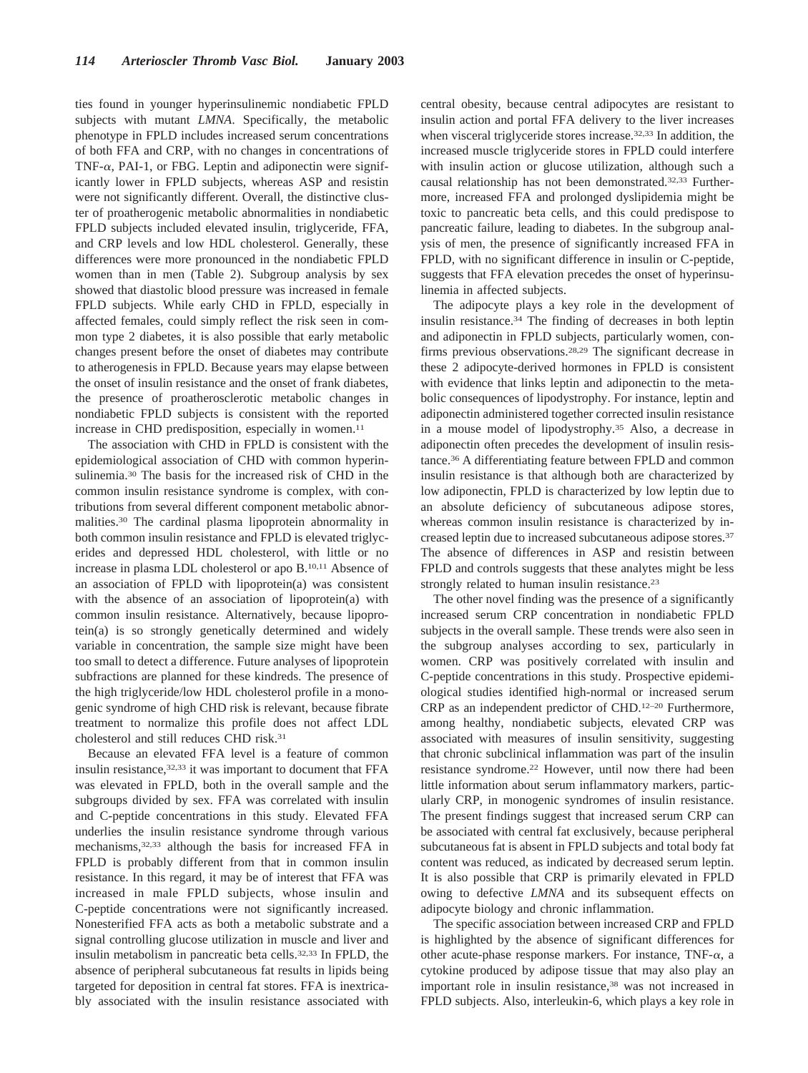ties found in younger hyperinsulinemic nondiabetic FPLD subjects with mutant *LMNA*. Specifically, the metabolic phenotype in FPLD includes increased serum concentrations of both FFA and CRP, with no changes in concentrations of TNF- $\alpha$ , PAI-1, or FBG. Leptin and adiponectin were significantly lower in FPLD subjects, whereas ASP and resistin were not significantly different. Overall, the distinctive cluster of proatherogenic metabolic abnormalities in nondiabetic FPLD subjects included elevated insulin, triglyceride, FFA, and CRP levels and low HDL cholesterol. Generally, these differences were more pronounced in the nondiabetic FPLD women than in men (Table 2). Subgroup analysis by sex showed that diastolic blood pressure was increased in female FPLD subjects. While early CHD in FPLD, especially in affected females, could simply reflect the risk seen in common type 2 diabetes, it is also possible that early metabolic changes present before the onset of diabetes may contribute to atherogenesis in FPLD. Because years may elapse between the onset of insulin resistance and the onset of frank diabetes, the presence of proatherosclerotic metabolic changes in nondiabetic FPLD subjects is consistent with the reported increase in CHD predisposition, especially in women.<sup>11</sup>

The association with CHD in FPLD is consistent with the epidemiological association of CHD with common hyperinsulinemia.30 The basis for the increased risk of CHD in the common insulin resistance syndrome is complex, with contributions from several different component metabolic abnormalities.30 The cardinal plasma lipoprotein abnormality in both common insulin resistance and FPLD is elevated triglycerides and depressed HDL cholesterol, with little or no increase in plasma LDL cholesterol or apo B.10,11 Absence of an association of FPLD with lipoprotein(a) was consistent with the absence of an association of lipoprotein(a) with common insulin resistance. Alternatively, because lipoprotein(a) is so strongly genetically determined and widely variable in concentration, the sample size might have been too small to detect a difference. Future analyses of lipoprotein subfractions are planned for these kindreds. The presence of the high triglyceride/low HDL cholesterol profile in a monogenic syndrome of high CHD risk is relevant, because fibrate treatment to normalize this profile does not affect LDL cholesterol and still reduces CHD risk.31

Because an elevated FFA level is a feature of common insulin resistance, 32,33 it was important to document that FFA was elevated in FPLD, both in the overall sample and the subgroups divided by sex. FFA was correlated with insulin and C-peptide concentrations in this study. Elevated FFA underlies the insulin resistance syndrome through various mechanisms,32,33 although the basis for increased FFA in FPLD is probably different from that in common insulin resistance. In this regard, it may be of interest that FFA was increased in male FPLD subjects, whose insulin and C-peptide concentrations were not significantly increased. Nonesterified FFA acts as both a metabolic substrate and a signal controlling glucose utilization in muscle and liver and insulin metabolism in pancreatic beta cells.32,33 In FPLD, the absence of peripheral subcutaneous fat results in lipids being targeted for deposition in central fat stores. FFA is inextricably associated with the insulin resistance associated with central obesity, because central adipocytes are resistant to insulin action and portal FFA delivery to the liver increases when visceral triglyceride stores increase.<sup>32,33</sup> In addition, the increased muscle triglyceride stores in FPLD could interfere with insulin action or glucose utilization, although such a causal relationship has not been demonstrated.32,33 Furthermore, increased FFA and prolonged dyslipidemia might be toxic to pancreatic beta cells, and this could predispose to pancreatic failure, leading to diabetes. In the subgroup analysis of men, the presence of significantly increased FFA in FPLD, with no significant difference in insulin or C-peptide, suggests that FFA elevation precedes the onset of hyperinsulinemia in affected subjects.

The adipocyte plays a key role in the development of insulin resistance.34 The finding of decreases in both leptin and adiponectin in FPLD subjects, particularly women, confirms previous observations.28,29 The significant decrease in these 2 adipocyte-derived hormones in FPLD is consistent with evidence that links leptin and adiponectin to the metabolic consequences of lipodystrophy. For instance, leptin and adiponectin administered together corrected insulin resistance in a mouse model of lipodystrophy.35 Also, a decrease in adiponectin often precedes the development of insulin resistance.36 A differentiating feature between FPLD and common insulin resistance is that although both are characterized by low adiponectin, FPLD is characterized by low leptin due to an absolute deficiency of subcutaneous adipose stores, whereas common insulin resistance is characterized by increased leptin due to increased subcutaneous adipose stores.37 The absence of differences in ASP and resistin between FPLD and controls suggests that these analytes might be less strongly related to human insulin resistance.<sup>23</sup>

The other novel finding was the presence of a significantly increased serum CRP concentration in nondiabetic FPLD subjects in the overall sample. These trends were also seen in the subgroup analyses according to sex, particularly in women. CRP was positively correlated with insulin and C-peptide concentrations in this study. Prospective epidemiological studies identified high-normal or increased serum CRP as an independent predictor of CHD.12–20 Furthermore, among healthy, nondiabetic subjects, elevated CRP was associated with measures of insulin sensitivity, suggesting that chronic subclinical inflammation was part of the insulin resistance syndrome.22 However, until now there had been little information about serum inflammatory markers, particularly CRP, in monogenic syndromes of insulin resistance. The present findings suggest that increased serum CRP can be associated with central fat exclusively, because peripheral subcutaneous fat is absent in FPLD subjects and total body fat content was reduced, as indicated by decreased serum leptin. It is also possible that CRP is primarily elevated in FPLD owing to defective *LMNA* and its subsequent effects on adipocyte biology and chronic inflammation.

The specific association between increased CRP and FPLD is highlighted by the absence of significant differences for other acute-phase response markers. For instance, TNF- $\alpha$ , a cytokine produced by adipose tissue that may also play an important role in insulin resistance,<sup>38</sup> was not increased in FPLD subjects. Also, interleukin-6, which plays a key role in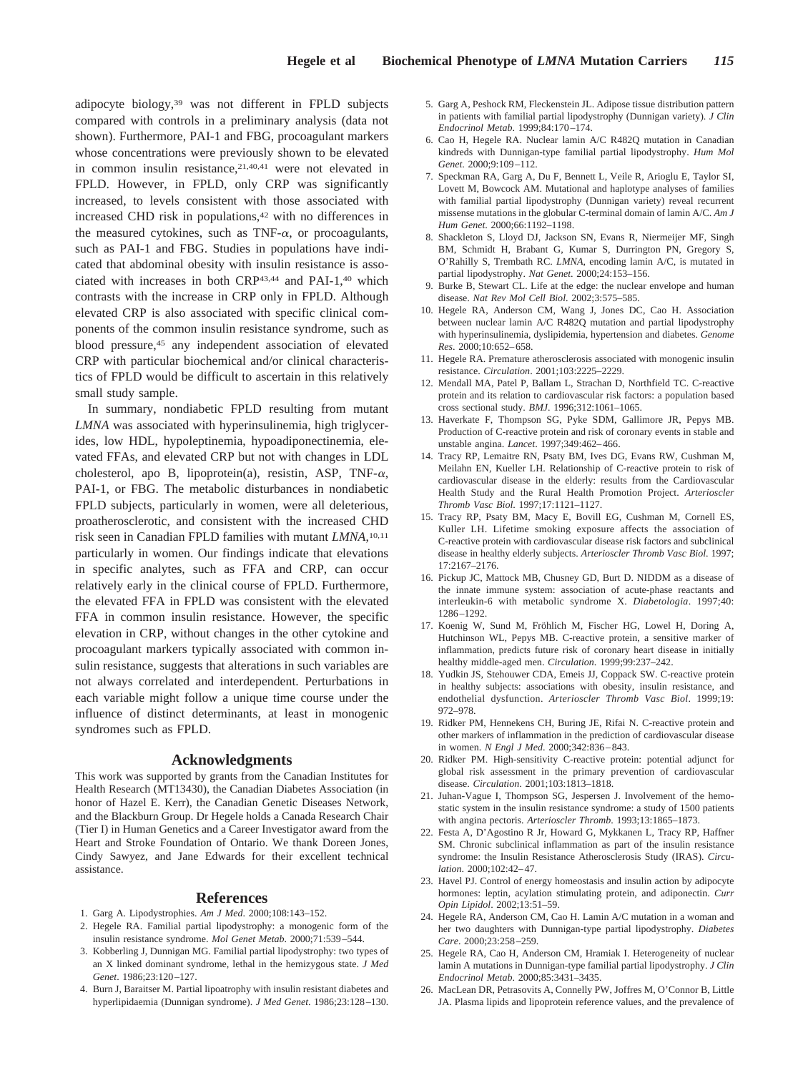adipocyte biology,39 was not different in FPLD subjects compared with controls in a preliminary analysis (data not shown). Furthermore, PAI-1 and FBG, procoagulant markers whose concentrations were previously shown to be elevated in common insulin resistance,<sup>21,40,41</sup> were not elevated in FPLD. However, in FPLD, only CRP was significantly increased, to levels consistent with those associated with increased CHD risk in populations,<sup>42</sup> with no differences in the measured cytokines, such as  $TNF-\alpha$ , or procoagulants, such as PAI-1 and FBG. Studies in populations have indicated that abdominal obesity with insulin resistance is associated with increases in both CRP43,44 and PAI-1,40 which contrasts with the increase in CRP only in FPLD. Although elevated CRP is also associated with specific clinical components of the common insulin resistance syndrome, such as blood pressure,45 any independent association of elevated CRP with particular biochemical and/or clinical characteristics of FPLD would be difficult to ascertain in this relatively small study sample.

In summary, nondiabetic FPLD resulting from mutant *LMNA* was associated with hyperinsulinemia, high triglycerides, low HDL, hypoleptinemia, hypoadiponectinemia, elevated FFAs, and elevated CRP but not with changes in LDL cholesterol, apo B, lipoprotein(a), resistin, ASP, TNF- $\alpha$ , PAI-1, or FBG. The metabolic disturbances in nondiabetic FPLD subjects, particularly in women, were all deleterious, proatherosclerotic, and consistent with the increased CHD risk seen in Canadian FPLD families with mutant *LMNA*, 10,11 particularly in women. Our findings indicate that elevations in specific analytes, such as FFA and CRP, can occur relatively early in the clinical course of FPLD. Furthermore, the elevated FFA in FPLD was consistent with the elevated FFA in common insulin resistance. However, the specific elevation in CRP, without changes in the other cytokine and procoagulant markers typically associated with common insulin resistance, suggests that alterations in such variables are not always correlated and interdependent. Perturbations in each variable might follow a unique time course under the influence of distinct determinants, at least in monogenic syndromes such as FPLD.

### **Acknowledgments**

This work was supported by grants from the Canadian Institutes for Health Research (MT13430), the Canadian Diabetes Association (in honor of Hazel E. Kerr), the Canadian Genetic Diseases Network, and the Blackburn Group. Dr Hegele holds a Canada Research Chair (Tier I) in Human Genetics and a Career Investigator award from the Heart and Stroke Foundation of Ontario. We thank Doreen Jones, Cindy Sawyez, and Jane Edwards for their excellent technical assistance.

#### **References**

- 1. Garg A. Lipodystrophies. *Am J Med*. 2000;108:143–152.
- 2. Hegele RA. Familial partial lipodystrophy: a monogenic form of the insulin resistance syndrome. *Mol Genet Metab*. 2000;71:539–544.
- 3. Kobberling J, Dunnigan MG. Familial partial lipodystrophy: two types of an X linked dominant syndrome, lethal in the hemizygous state. *J Med Genet*. 1986;23:120–127.
- 4. Burn J, Baraitser M. Partial lipoatrophy with insulin resistant diabetes and hyperlipidaemia (Dunnigan syndrome). *J Med Genet*. 1986;23:128–130.
- 5. Garg A, Peshock RM, Fleckenstein JL. Adipose tissue distribution pattern in patients with familial partial lipodystrophy (Dunnigan variety). *J Clin Endocrinol Metab*. 1999;84:170–174.
- 6. Cao H, Hegele RA. Nuclear lamin A/C R482Q mutation in Canadian kindreds with Dunnigan-type familial partial lipodystrophy. *Hum Mol Genet*. 2000;9:109–112.
- 7. Speckman RA, Garg A, Du F, Bennett L, Veile R, Arioglu E, Taylor SI, Lovett M, Bowcock AM. Mutational and haplotype analyses of families with familial partial lipodystrophy (Dunnigan variety) reveal recurrent missense mutations in the globular C-terminal domain of lamin A/C. *Am J Hum Genet*. 2000;66:1192–1198.
- 8. Shackleton S, Lloyd DJ, Jackson SN, Evans R, Niermeijer MF, Singh BM, Schmidt H, Brabant G, Kumar S, Durrington PN, Gregory S, O'Rahilly S, Trembath RC. *LMNA*, encoding lamin A/C, is mutated in partial lipodystrophy. *Nat Genet*. 2000;24:153–156.
- 9. Burke B, Stewart CL. Life at the edge: the nuclear envelope and human disease. *Nat Rev Mol Cell Biol*. 2002;3:575–585.
- 10. Hegele RA, Anderson CM, Wang J, Jones DC, Cao H. Association between nuclear lamin A/C R482Q mutation and partial lipodystrophy with hyperinsulinemia, dyslipidemia, hypertension and diabetes. *Genome Res*. 2000;10:652–658.
- 11. Hegele RA. Premature atherosclerosis associated with monogenic insulin resistance. *Circulation*. 2001;103:2225–2229.
- 12. Mendall MA, Patel P, Ballam L, Strachan D, Northfield TC. C-reactive protein and its relation to cardiovascular risk factors: a population based cross sectional study. *BMJ*. 1996;312:1061–1065.
- 13. Haverkate F, Thompson SG, Pyke SDM, Gallimore JR, Pepys MB. Production of C-reactive protein and risk of coronary events in stable and unstable angina. *Lancet*. 1997;349:462–466.
- 14. Tracy RP, Lemaitre RN, Psaty BM, Ives DG, Evans RW, Cushman M, Meilahn EN, Kueller LH. Relationship of C-reactive protein to risk of cardiovascular disease in the elderly: results from the Cardiovascular Health Study and the Rural Health Promotion Project. *Arterioscler Thromb Vasc Biol*. 1997;17:1121–1127.
- 15. Tracy RP, Psaty BM, Macy E, Bovill EG, Cushman M, Cornell ES, Kuller LH. Lifetime smoking exposure affects the association of C-reactive protein with cardiovascular disease risk factors and subclinical disease in healthy elderly subjects. *Arterioscler Thromb Vasc Biol*. 1997; 17:2167–2176.
- 16. Pickup JC, Mattock MB, Chusney GD, Burt D. NIDDM as a disease of the innate immune system: association of acute-phase reactants and interleukin-6 with metabolic syndrome X. *Diabetologia*. 1997;40: 1286–1292.
- 17. Koenig W, Sund M, Fröhlich M, Fischer HG, Lowel H, Doring A, Hutchinson WL, Pepys MB. C-reactive protein, a sensitive marker of inflammation, predicts future risk of coronary heart disease in initially healthy middle-aged men. *Circulation*. 1999;99:237–242.
- 18. Yudkin JS, Stehouwer CDA, Emeis JJ, Coppack SW. C-reactive protein in healthy subjects: associations with obesity, insulin resistance, and endothelial dysfunction. *Arterioscler Thromb Vasc Biol*. 1999;19: 972–978.
- 19. Ridker PM, Hennekens CH, Buring JE, Rifai N. C-reactive protein and other markers of inflammation in the prediction of cardiovascular disease in women. *N Engl J Med*. 2000;342:836–843.
- 20. Ridker PM. High-sensitivity C-reactive protein: potential adjunct for global risk assessment in the primary prevention of cardiovascular disease. *Circulation*. 2001;103:1813–1818.
- 21. Juhan-Vague I, Thompson SG, Jespersen J. Involvement of the hemostatic system in the insulin resistance syndrome: a study of 1500 patients with angina pectoris. *Arterioscler Thromb*. 1993;13:1865–1873.
- 22. Festa A, D'Agostino R Jr, Howard G, Mykkanen L, Tracy RP, Haffner SM. Chronic subclinical inflammation as part of the insulin resistance syndrome: the Insulin Resistance Atherosclerosis Study (IRAS). *Circulation*. 2000;102:42–47.
- 23. Havel PJ. Control of energy homeostasis and insulin action by adipocyte hormones: leptin, acylation stimulating protein, and adiponectin. *Curr Opin Lipidol*. 2002;13:51–59.
- 24. Hegele RA, Anderson CM, Cao H. Lamin A/C mutation in a woman and her two daughters with Dunnigan-type partial lipodystrophy. *Diabetes Care*. 2000;23:258–259.
- 25. Hegele RA, Cao H, Anderson CM, Hramiak I. Heterogeneity of nuclear lamin A mutations in Dunnigan-type familial partial lipodystrophy. *J Clin Endocrinol Metab*. 2000;85:3431–3435.
- 26. MacLean DR, Petrasovits A, Connelly PW, Joffres M, O'Connor B, Little JA. Plasma lipids and lipoprotein reference values, and the prevalence of